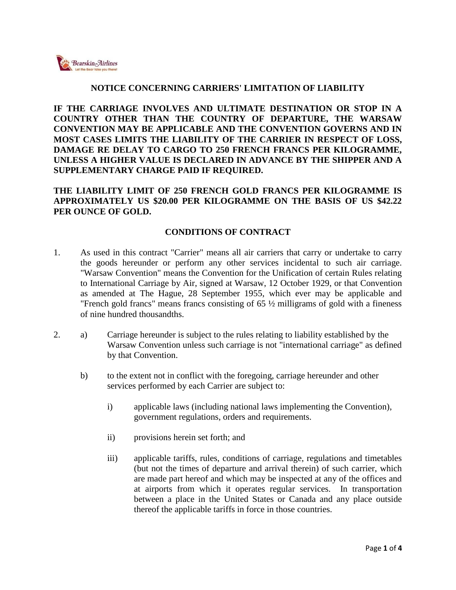

## **NOTICE CONCERNING CARRIERS' LIMITATION OF LIABILITY**

**IF THE CARRIAGE INVOLVES AND ULTIMATE DESTINATION OR STOP IN A COUNTRY OTHER THAN THE COUNTRY OF DEPARTURE, THE WARSAW CONVENTION MAY BE APPLICABLE AND THE CONVENTION GOVERNS AND IN MOST CASES LIMITS THE LIABILITY OF THE CARRIER IN RESPECT OF LOSS, DAMAGE RE DELAY TO CARGO TO 250 FRENCH FRANCS PER KILOGRAMME, UNLESS A HIGHER VALUE IS DECLARED IN ADVANCE BY THE SHIPPER AND A SUPPLEMENTARY CHARGE PAID IF REQUIRED.**

**THE LIABILITY LIMIT OF 250 FRENCH GOLD FRANCS PER KILOGRAMME IS APPROXIMATELY US \$20.00 PER KILOGRAMME ON THE BASIS OF US \$42.22 PER OUNCE OF GOLD.**

## **CONDITIONS OF CONTRACT**

- 1. As used in this contract "Carrier" means all air carriers that carry or undertake to carry the goods hereunder or perform any other services incidental to such air carriage. "Warsaw Convention" means the Convention for the Unification of certain Rules relating to International Carriage by Air, signed at Warsaw, 12 October 1929, or that Convention as amended at The Hague, 28 September 1955, which ever may be applicable and "French gold francs" means francs consisting of 65 ½ milligrams of gold with a fineness of nine hundred thousandths.
- 2. a) Carriage hereunder is subject to the rules relating to liability established by the Warsaw Convention unless such carriage is not "international carriage" as defined by that Convention.
	- b) to the extent not in conflict with the foregoing, carriage hereunder and other services performed by each Carrier are subject to:
		- i) applicable laws (including national laws implementing the Convention), government regulations, orders and requirements.
		- ii) provisions herein set forth; and
		- iii) applicable tariffs, rules, conditions of carriage, regulations and timetables (but not the times of departure and arrival therein) of such carrier, which are made part hereof and which may be inspected at any of the offices and at airports from which it operates regular services. In transportation between a place in the United States or Canada and any place outside thereof the applicable tariffs in force in those countries.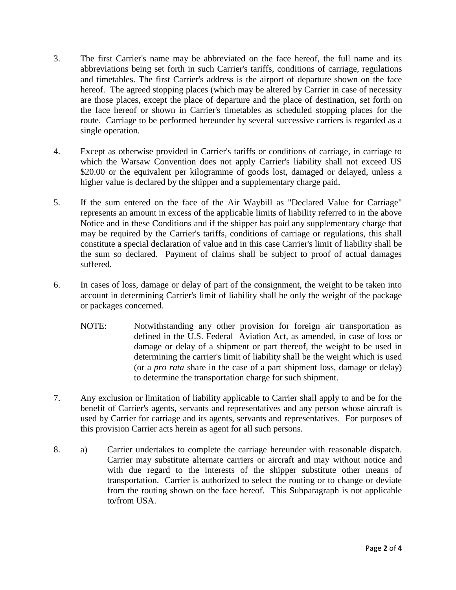- 3. The first Carrier's name may be abbreviated on the face hereof, the full name and its abbreviations being set forth in such Carrier's tariffs, conditions of carriage, regulations and timetables. The first Carrier's address is the airport of departure shown on the face hereof. The agreed stopping places (which may be altered by Carrier in case of necessity are those places, except the place of departure and the place of destination, set forth on the face hereof or shown in Carrier's timetables as scheduled stopping places for the route. Carriage to be performed hereunder by several successive carriers is regarded as a single operation.
- 4. Except as otherwise provided in Carrier's tariffs or conditions of carriage, in carriage to which the Warsaw Convention does not apply Carrier's liability shall not exceed US \$20.00 or the equivalent per kilogramme of goods lost, damaged or delayed, unless a higher value is declared by the shipper and a supplementary charge paid.
- 5. If the sum entered on the face of the Air Waybill as "Declared Value for Carriage" represents an amount in excess of the applicable limits of liability referred to in the above Notice and in these Conditions and if the shipper has paid any supplementary charge that may be required by the Carrier's tariffs, conditions of carriage or regulations, this shall constitute a special declaration of value and in this case Carrier's limit of liability shall be the sum so declared. Payment of claims shall be subject to proof of actual damages suffered.
- 6. In cases of loss, damage or delay of part of the consignment, the weight to be taken into account in determining Carrier's limit of liability shall be only the weight of the package or packages concerned.
	- NOTE: Notwithstanding any other provision for foreign air transportation as defined in the U.S. Federal Aviation Act, as amended, in case of loss or damage or delay of a shipment or part thereof, the weight to be used in determining the carrier's limit of liability shall be the weight which is used (or a *pro rata* share in the case of a part shipment loss, damage or delay) to determine the transportation charge for such shipment.
- 7. Any exclusion or limitation of liability applicable to Carrier shall apply to and be for the benefit of Carrier's agents, servants and representatives and any person whose aircraft is used by Carrier for carriage and its agents, servants and representatives. For purposes of this provision Carrier acts herein as agent for all such persons.
- 8. a) Carrier undertakes to complete the carriage hereunder with reasonable dispatch. Carrier may substitute alternate carriers or aircraft and may without notice and with due regard to the interests of the shipper substitute other means of transportation. Carrier is authorized to select the routing or to change or deviate from the routing shown on the face hereof. This Subparagraph is not applicable to/from USA.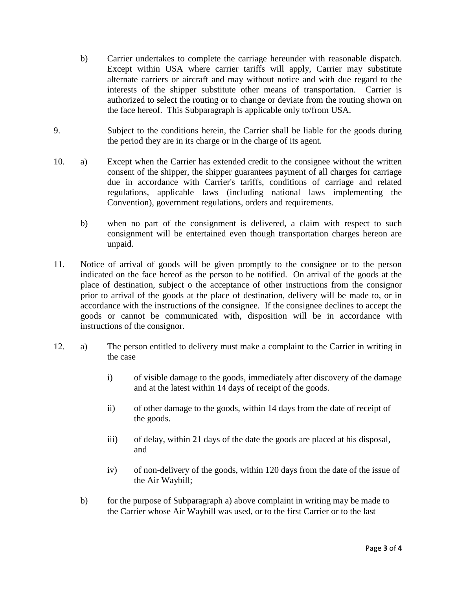- b) Carrier undertakes to complete the carriage hereunder with reasonable dispatch. Except within USA where carrier tariffs will apply, Carrier may substitute alternate carriers or aircraft and may without notice and with due regard to the interests of the shipper substitute other means of transportation. Carrier is authorized to select the routing or to change or deviate from the routing shown on the face hereof. This Subparagraph is applicable only to/from USA.
- 9. Subject to the conditions herein, the Carrier shall be liable for the goods during the period they are in its charge or in the charge of its agent.
- 10. a) Except when the Carrier has extended credit to the consignee without the written consent of the shipper, the shipper guarantees payment of all charges for carriage due in accordance with Carrier's tariffs, conditions of carriage and related regulations, applicable laws (including national laws implementing the Convention), government regulations, orders and requirements.
	- b) when no part of the consignment is delivered, a claim with respect to such consignment will be entertained even though transportation charges hereon are unpaid.
- 11. Notice of arrival of goods will be given promptly to the consignee or to the person indicated on the face hereof as the person to be notified. On arrival of the goods at the place of destination, subject o the acceptance of other instructions from the consignor prior to arrival of the goods at the place of destination, delivery will be made to, or in accordance with the instructions of the consignee. If the consignee declines to accept the goods or cannot be communicated with, disposition will be in accordance with instructions of the consignor.
- 12. a) The person entitled to delivery must make a complaint to the Carrier in writing in the case
	- i) of visible damage to the goods, immediately after discovery of the damage and at the latest within 14 days of receipt of the goods.
	- ii) of other damage to the goods, within 14 days from the date of receipt of the goods.
	- iii) of delay, within 21 days of the date the goods are placed at his disposal, and
	- iv) of non-delivery of the goods, within 120 days from the date of the issue of the Air Waybill;
	- b) for the purpose of Subparagraph a) above complaint in writing may be made to the Carrier whose Air Waybill was used, or to the first Carrier or to the last